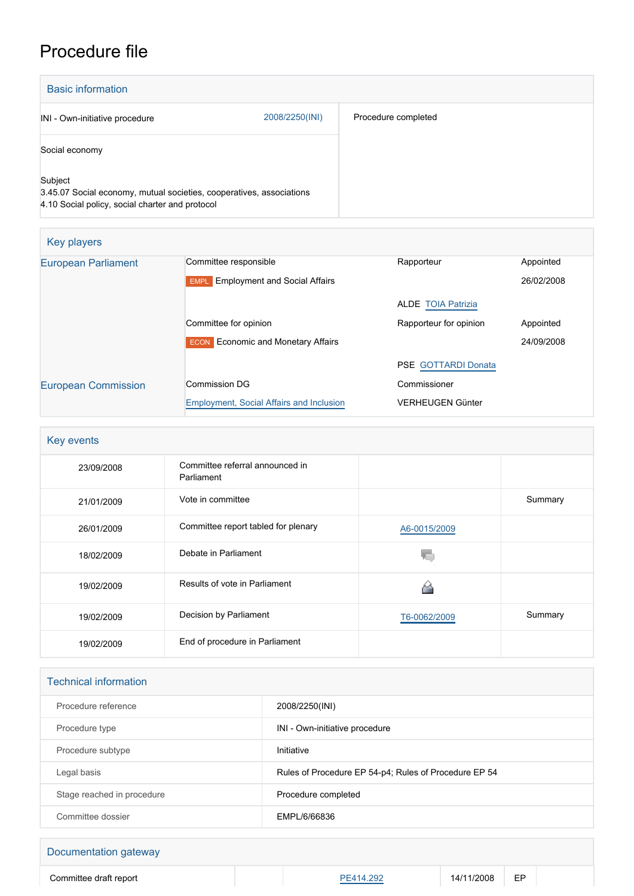## Procedure file

| <b>Basic information</b>                                                                                                           |                |                     |  |  |
|------------------------------------------------------------------------------------------------------------------------------------|----------------|---------------------|--|--|
| INI - Own-initiative procedure                                                                                                     | 2008/2250(INI) | Procedure completed |  |  |
| Social economy                                                                                                                     |                |                     |  |  |
| Subject<br>3.45.07 Social economy, mutual societies, cooperatives, associations<br>4.10 Social policy, social charter and protocol |                |                     |  |  |

| Key players                |                                                     |                            |            |
|----------------------------|-----------------------------------------------------|----------------------------|------------|
| <b>European Parliament</b> | Committee responsible                               | Rapporteur                 | Appointed  |
|                            | <b>Employment and Social Affairs</b><br><b>EMPL</b> |                            | 26/02/2008 |
|                            |                                                     | <b>ALDE TOIA Patrizia</b>  |            |
|                            | Committee for opinion                               | Rapporteur for opinion     | Appointed  |
|                            | <b>Economic and Monetary Affairs</b><br><b>ECON</b> |                            | 24/09/2008 |
|                            |                                                     | <b>PSE GOTTARDI Donata</b> |            |
| <b>European Commission</b> | Commission DG                                       | Commissioner               |            |
|                            | <b>Employment, Social Affairs and Inclusion</b>     | <b>VERHEUGEN Günter</b>    |            |

| Key events |                                               |              |         |
|------------|-----------------------------------------------|--------------|---------|
| 23/09/2008 | Committee referral announced in<br>Parliament |              |         |
| 21/01/2009 | Vote in committee                             |              | Summary |
| 26/01/2009 | Committee report tabled for plenary           | A6-0015/2009 |         |
| 18/02/2009 | Debate in Parliament                          |              |         |
| 19/02/2009 | Results of vote in Parliament                 |              |         |
| 19/02/2009 | Decision by Parliament                        | T6-0062/2009 | Summary |
| 19/02/2009 | End of procedure in Parliament                |              |         |

| <b>Technical information</b> |                                                       |  |  |
|------------------------------|-------------------------------------------------------|--|--|
| Procedure reference          | 2008/2250(INI)                                        |  |  |
| Procedure type               | INI - Own-initiative procedure                        |  |  |
| Procedure subtype            | Initiative                                            |  |  |
| Legal basis                  | Rules of Procedure EP 54-p4; Rules of Procedure EP 54 |  |  |
| Stage reached in procedure   | Procedure completed                                   |  |  |
| Committee dossier            | EMPL/6/66836                                          |  |  |

## Documentation gateway Committee draft report **[PE414.292](https://www.europarl.europa.eu/doceo/document/EN&reference=PE414.292)** 14/11/2008 EP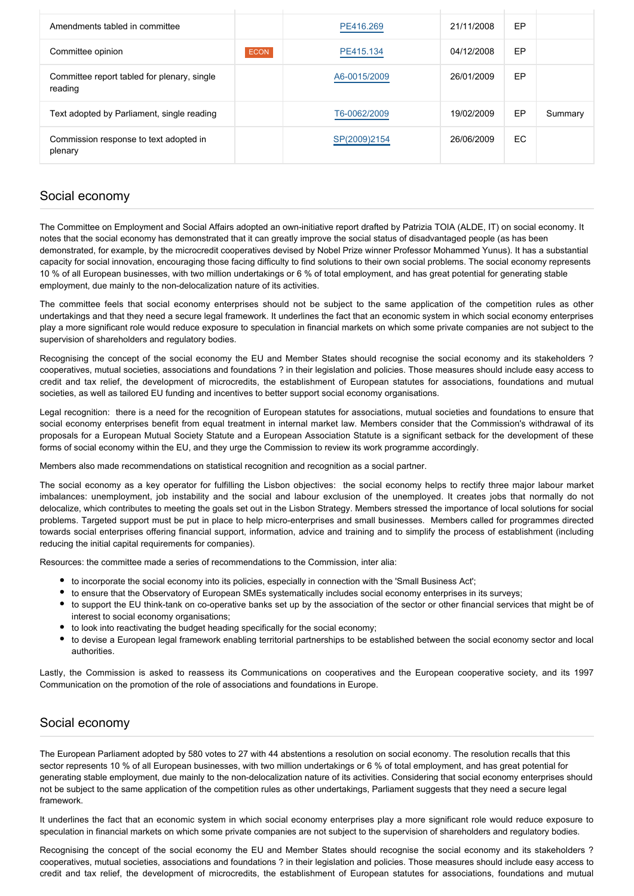| Amendments tabled in committee                         |             | PE416.269    | 21/11/2008 | EP |         |
|--------------------------------------------------------|-------------|--------------|------------|----|---------|
| Committee opinion                                      | <b>ECON</b> | PE415.134    | 04/12/2008 | EP |         |
| Committee report tabled for plenary, single<br>reading |             | A6-0015/2009 | 26/01/2009 | EP |         |
| Text adopted by Parliament, single reading             |             | T6-0062/2009 | 19/02/2009 | EP | Summary |
| Commission response to text adopted in<br>plenary      |             | SP(2009)2154 | 26/06/2009 | EC |         |

## Social economy

The Committee on Employment and Social Affairs adopted an own-initiative report drafted by Patrizia TOIA (ALDE, IT) on social economy. It notes that the social economy has demonstrated that it can greatly improve the social status of disadvantaged people (as has been demonstrated, for example, by the microcredit cooperatives devised by Nobel Prize winner Professor Mohammed Yunus). It has a substantial capacity for social innovation, encouraging those facing difficulty to find solutions to their own social problems. The social economy represents 10 % of all European businesses, with two million undertakings or 6 % of total employment, and has great potential for generating stable employment, due mainly to the non-delocalization nature of its activities.

The committee feels that social economy enterprises should not be subject to the same application of the competition rules as other undertakings and that they need a secure legal framework. It underlines the fact that an economic system in which social economy enterprises play a more significant role would reduce exposure to speculation in financial markets on which some private companies are not subject to the supervision of shareholders and regulatory bodies.

Recognising the concept of the social economy the EU and Member States should recognise the social economy and its stakeholders ? cooperatives, mutual societies, associations and foundations ? in their legislation and policies. Those measures should include easy access to credit and tax relief, the development of microcredits, the establishment of European statutes for associations, foundations and mutual societies, as well as tailored EU funding and incentives to better support social economy organisations.

Legal recognition: there is a need for the recognition of European statutes for associations, mutual societies and foundations to ensure that social economy enterprises benefit from equal treatment in internal market law. Members consider that the Commission's withdrawal of its proposals for a European Mutual Society Statute and a European Association Statute is a significant setback for the development of these forms of social economy within the EU, and they urge the Commission to review its work programme accordingly.

Members also made recommendations on statistical recognition and recognition as a social partner.

The social economy as a key operator for fulfilling the Lisbon objectives: the social economy helps to rectify three major labour market imbalances: unemployment, job instability and the social and labour exclusion of the unemployed. It creates jobs that normally do not delocalize, which contributes to meeting the goals set out in the Lisbon Strategy. Members stressed the importance of local solutions for social problems. Targeted support must be put in place to help micro-enterprises and small businesses. Members called for programmes directed towards social enterprises offering financial support, information, advice and training and to simplify the process of establishment (including reducing the initial capital requirements for companies).

Resources: the committee made a series of recommendations to the Commission, inter alia:

- to incorporate the social economy into its policies, especially in connection with the 'Small Business Act';
- to ensure that the Observatory of European SMEs systematically includes social economy enterprises in its surveys;
- to support the EU think-tank on co-operative banks set up by the association of the sector or other financial services that might be of interest to social economy organisations;
- to look into reactivating the budget heading specifically for the social economy;
- to devise a European legal framework enabling territorial partnerships to be established between the social economy sector and local authorities.

Lastly, the Commission is asked to reassess its Communications on cooperatives and the European cooperative society, and its 1997 Communication on the promotion of the role of associations and foundations in Europe.

## Social economy

The European Parliament adopted by 580 votes to 27 with 44 abstentions a resolution on social economy. The resolution recalls that this sector represents 10 % of all European businesses, with two million undertakings or 6 % of total employment, and has great potential for generating stable employment, due mainly to the non-delocalization nature of its activities. Considering that social economy enterprises should not be subject to the same application of the competition rules as other undertakings, Parliament suggests that they need a secure legal framework.

It underlines the fact that an economic system in which social economy enterprises play a more significant role would reduce exposure to speculation in financial markets on which some private companies are not subject to the supervision of shareholders and regulatory bodies.

Recognising the concept of the social economy the EU and Member States should recognise the social economy and its stakeholders ? cooperatives, mutual societies, associations and foundations ? in their legislation and policies. Those measures should include easy access to credit and tax relief, the development of microcredits, the establishment of European statutes for associations, foundations and mutual